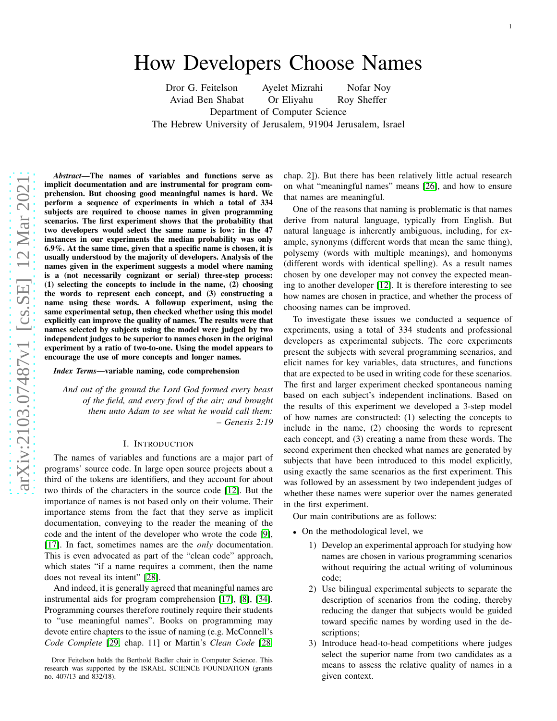# How Developers Choose Names

Dror G. Feitelson Ayelet Mizrahi Nofar Nov Aviad Ben Shabat Or Eliyahu Roy Sheffer Department of Computer Science The Hebrew University of Jerusalem, 91904 Jerusalem, Israe l

*Abstract*—The names of variables and functions serve as implicit documentation and are instrumental for program comprehension. But choosing good meaningful names is hard. We perform a sequence of experiments in which a total of 334 subjects are required to choose names in given programming scenarios. The first experiment shows that the probability that two developers would select the same name is low: in the 47 instances in our experiments the median probability was only 6.9%. At the same time, given that a specific name is chosen, it is usually understood by the majority of developers. Analysis of the names given in the experiment suggests a model where naming is a (not necessarily cognizant or serial) three-step process: (1) selecting the concepts to include in the name, (2) choosing the words to represent each concept, and (3) constructing a name using these words. A followup experiment, using the same experimental setup, then checked whether using this model explicitly can improve the quality of names. The results were that names selected by subjects using the model were judged by two independent judges to be superior to names chosen in the original experiment by a ratio of two-to-one. Using the model appears to encourage the use of more concepts and longer names.

#### *Index Terms*—variable naming, code comprehension

*And out of the ground the Lord God formed every beast of the field, and every fowl of the air; and brought them unto Adam to see what he would call them: – Genesis 2:19*

#### I. INTRODUCTION

The names of variables and functions are a major part of programs' source code. In large open source projects about a third of the tokens are identifiers, and they account for abou t two thirds of the characters in the source code [\[12\]](#page-14-0). But the importance of names is not based only on their volume. Their importance stems from the fact that they serve as implicit documentation, conveying to the reader the meaning of the code and the intent of the developer who wrote the code [\[9\]](#page-13-0), [\[17\]](#page-14-1). In fact, sometimes names are the *only* documentation. This is even advocated as part of the "clean code" approach, which states "if a name requires a comment, then the name does not reveal its intent" [\[28\]](#page-14-2).

And indeed, it is generally agreed that meaningful names are instrumental aids for program comprehension [\[17\]](#page-14-1), [\[8\]](#page-13-1), [\[34\]](#page-14-3). Programming courses therefore routinely require their students to "use meaningful names". Books on programming may devote entire chapters to the issue of naming (e.g. McConnell's *Code Complete* [\[29,](#page-14-4) chap. 11] or Martin's *Clean Code* [\[28,](#page-14-2) chap. 2]). But there has been relatively little actual research on what "meaningful names" means [\[26\]](#page-14-5), and how to ensure that names are meaningful.

One of the reasons that naming is problematic is that names derive from natural language, typically from English. But natural language is inherently ambiguous, including, for example, synonyms (different words that mean the same thing), polysemy (words with multiple meanings), and homonyms (different words with identical spelling). As a result name s chosen by one developer may not convey the expected meaning to another developer [\[12\]](#page-14-0). It is therefore interesting to see how names are chosen in practice, and whether the process of choosing names can be improved.

To investigate these issues we conducted a sequence of experiments, using a total of 334 students and professional developers as experimental subjects. The core experiments present the subjects with several programming scenarios, and elicit names for key variables, data structures, and functions that are expected to be used in writing code for these scenarios. The first and larger experiment checked spontaneous naming based on each subject's independent inclinations. Based on the results of this experiment we developed a 3-step model of how names are constructed: (1) selecting the concepts to include in the name, (2) choosing the words to represent each concept, and (3) creating a name from these words. The second experiment then checked what names are generated by subjects that have been introduced to this model explicitly , using exactly the same scenarios as the first experiment. Thi s was followed by an assessment by two independent judges of whether these names were superior over the names generated in the first experiment.

Our main contributions are as follows:

- On the methodological level, we
	- 1) Develop an experimental approach for studying how names are chosen in various programming scenarios without requiring the actual writing of voluminous code;
	- 2) Use bilingual experimental subjects to separate the description of scenarios from the coding, thereby reducing the danger that subjects would be guided toward specific names by wording used in the descriptions;
	- 3) Introduce head-to-head competitions where judges select the superior name from two candidates as a means to assess the relative quality of names in a given context.

Dror Feitelson holds the Berthold Badler chair in Computer Science. This research was supported by the ISRAEL SCIENCE FOUNDATION (grants no. 407/13 and 832/18).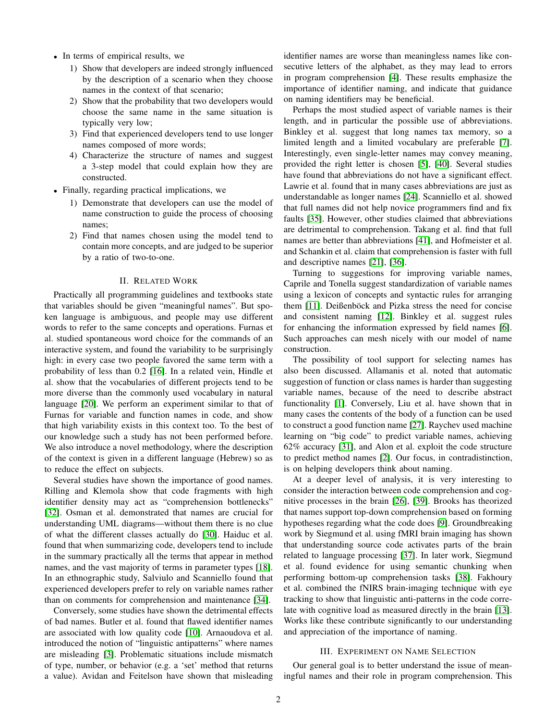- In terms of empirical results, we
	- 1) Show that developers are indeed strongly influenced by the description of a scenario when they choose names in the context of that scenario;
	- 2) Show that the probability that two developers would choose the same name in the same situation is typically very low;
	- 3) Find that experienced developers tend to use longer names composed of more words;
	- 4) Characterize the structure of names and suggest a 3-step model that could explain how they are constructed.
- Finally, regarding practical implications, we
	- 1) Demonstrate that developers can use the model of name construction to guide the process of choosing names;
	- 2) Find that names chosen using the model tend to contain more concepts, and are judged to be superior by a ratio of two-to-one.

## II. RELATED WORK

Practically all programming guidelines and textbooks state that variables should be given "meaningful names". But spoken language is ambiguous, and people may use different words to refer to the same concepts and operations. Furnas et al. studied spontaneous word choice for the commands of an interactive system, and found the variability to be surprisingly high: in every case two people favored the same term with a probability of less than 0.2 [\[16\]](#page-14-6). In a related vein, Hindle et al. show that the vocabularies of different projects tend to be more diverse than the commonly used vocabulary in natural language [\[20\]](#page-14-7). We perform an experiment similar to that of Furnas for variable and function names in code, and show that high variability exists in this context too. To the best of our knowledge such a study has not been performed before. We also introduce a novel methodology, where the description of the context is given in a different language (Hebrew) so as to reduce the effect on subjects.

Several studies have shown the importance of good names. Rilling and Klemola show that code fragments with high identifier density may act as "comprehension bottlenecks" [\[32\]](#page-14-8). Osman et al. demonstrated that names are crucial for understanding UML diagrams—without them there is no clue of what the different classes actually do [\[30\]](#page-14-9). Haiduc et al. found that when summarizing code, developers tend to include in the summary practically all the terms that appear in method names, and the vast majority of terms in parameter types [\[18\]](#page-14-10). In an ethnographic study, Salviulo and Scanniello found that experienced developers prefer to rely on variable names rather than on comments for comprehension and maintenance [\[34\]](#page-14-3).

Conversely, some studies have shown the detrimental effects of bad names. Butler et al. found that flawed identifier names are associated with low quality code [\[10\]](#page-13-2). Arnaoudova et al. introduced the notion of "linguistic antipatterns" where names are misleading [\[3\]](#page-13-3). Problematic situations include mismatch of type, number, or behavior (e.g. a 'set' method that returns a value). Avidan and Feitelson have shown that misleading

identifier names are worse than meaningless names like consecutive letters of the alphabet, as they may lead to errors in program comprehension [\[4\]](#page-13-4). These results emphasize the importance of identifier naming, and indicate that guidance on naming identifiers may be beneficial.

Perhaps the most studied aspect of variable names is their length, and in particular the possible use of abbreviations. Binkley et al. suggest that long names tax memory, so a limited length and a limited vocabulary are preferable [\[7\]](#page-13-5). Interestingly, even single-letter names may convey meaning, provided the right letter is chosen [\[5\]](#page-13-6), [\[40\]](#page-14-11). Several studies have found that abbreviations do not have a significant effect. Lawrie et al. found that in many cases abbreviations are just as understandable as longer names [\[24\]](#page-14-12). Scanniello et al. showed that full names did not help novice programmers find and fix faults [\[35\]](#page-14-13). However, other studies claimed that abbreviations are detrimental to comprehension. Takang et al. find that full names are better than abbreviations [\[41\]](#page-14-14), and Hofmeister et al. and Schankin et al. claim that comprehension is faster with full and descriptive names [\[21\]](#page-14-15), [\[36\]](#page-14-16).

Turning to suggestions for improving variable names, Caprile and Tonella suggest standardization of variable names using a lexicon of concepts and syntactic rules for arranging them [\[11\]](#page-13-7). Deißenböck and Pizka stress the need for concise and consistent naming [\[12\]](#page-14-0). Binkley et al. suggest rules for enhancing the information expressed by field names [\[6\]](#page-13-8). Such approaches can mesh nicely with our model of name construction.

The possibility of tool support for selecting names has also been discussed. Allamanis et al. noted that automatic suggestion of function or class names is harder than suggesting variable names, because of the need to describe abstract functionality [\[1\]](#page-13-9). Conversely, Liu et al. have shown that in many cases the contents of the body of a function can be used to construct a good function name [\[27\]](#page-14-17). Raychev used machine learning on "big code" to predict variable names, achieving 62% accuracy [\[31\]](#page-14-18), and Alon et al. exploit the code structure to predict method names [\[2\]](#page-13-10). Our focus, in contradistinction, is on helping developers think about naming.

At a deeper level of analysis, it is very interesting to consider the interaction between code comprehension and cognitive processes in the brain [\[26\]](#page-14-5), [\[39\]](#page-14-19). Brooks has theorized that names support top-down comprehension based on forming hypotheses regarding what the code does [\[9\]](#page-13-0). Groundbreaking work by Siegmund et al. using fMRI brain imaging has shown that understanding source code activates parts of the brain related to language processing [\[37\]](#page-14-20). In later work, Siegmund et al. found evidence for using semantic chunking when performing bottom-up comprehension tasks [\[38\]](#page-14-21). Fakhoury et al. combined the fNIRS brain-imaging technique with eye tracking to show that linguistic anti-patterns in the code correlate with cognitive load as measured directly in the brain [\[13\]](#page-14-22). Works like these contribute significantly to our understanding and appreciation of the importance of naming.

## III. EXPERIMENT ON NAME SELECTION

Our general goal is to better understand the issue of meaningful names and their role in program comprehension. This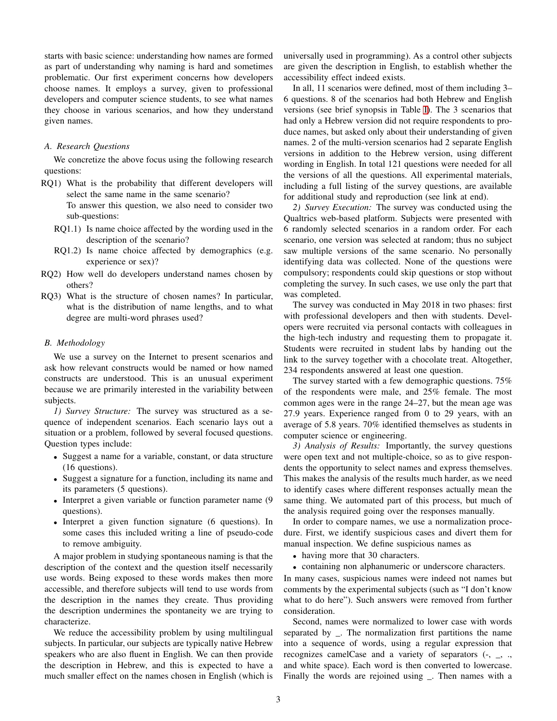starts with basic science: understanding how names are formed as part of understanding why naming is hard and sometimes problematic. Our first experiment concerns how developers choose names. It employs a survey, given to professional developers and computer science students, to see what names they choose in various scenarios, and how they understand given names.

## *A. Research Questions*

We concretize the above focus using the following research questions:

<span id="page-2-3"></span>RQ1) What is the probability that different developers will select the same name in the same scenario?

To answer this question, we also need to consider two sub-questions:

- <span id="page-2-0"></span>RQ1.1) Is name choice affected by the wording used in the description of the scenario?
- <span id="page-2-2"></span>RQ1.2) Is name choice affected by demographics (e.g. experience or sex)?
- <span id="page-2-4"></span><span id="page-2-1"></span>RQ2) How well do developers understand names chosen by others?
- RQ3) What is the structure of chosen names? In particular, what is the distribution of name lengths, and to what degree are multi-word phrases used?

#### *B. Methodology*

We use a survey on the Internet to present scenarios and ask how relevant constructs would be named or how named constructs are understood. This is an unusual experiment because we are primarily interested in the variability between subjects.

*1) Survey Structure:* The survey was structured as a sequence of independent scenarios. Each scenario lays out a situation or a problem, followed by several focused questions. Question types include:

- Suggest a name for a variable, constant, or data structure (16 questions).
- Suggest a signature for a function, including its name and its parameters (5 questions).
- Interpret a given variable or function parameter name (9 questions).
- Interpret a given function signature (6 questions). In some cases this included writing a line of pseudo-code to remove ambiguity.

A major problem in studying spontaneous naming is that the description of the context and the question itself necessarily use words. Being exposed to these words makes then more accessible, and therefore subjects will tend to use words from the description in the names they create. Thus providing the description undermines the spontaneity we are trying to characterize.

We reduce the accessibility problem by using multilingual subjects. In particular, our subjects are typically native Hebrew speakers who are also fluent in English. We can then provide the description in Hebrew, and this is expected to have a much smaller effect on the names chosen in English (which is universally used in programming). As a control other subjects are given the description in English, to establish whether the accessibility effect indeed exists.

In all, 11 scenarios were defined, most of them including 3– 6 questions. 8 of the scenarios had both Hebrew and English versions (see brief synopsis in Table [I\)](#page-6-0). The 3 scenarios that had only a Hebrew version did not require respondents to produce names, but asked only about their understanding of given names. 2 of the multi-version scenarios had 2 separate English versions in addition to the Hebrew version, using different wording in English. In total 121 questions were needed for all the versions of all the questions. All experimental materials, including a full listing of the survey questions, are available for additional study and reproduction (see link at end).

*2) Survey Execution:* The survey was conducted using the Qualtrics web-based platform. Subjects were presented with 6 randomly selected scenarios in a random order. For each scenario, one version was selected at random; thus no subject saw multiple versions of the same scenario. No personally identifying data was collected. None of the questions were compulsory; respondents could skip questions or stop without completing the survey. In such cases, we use only the part that was completed.

The survey was conducted in May 2018 in two phases: first with professional developers and then with students. Developers were recruited via personal contacts with colleagues in the high-tech industry and requesting them to propagate it. Students were recruited in student labs by handing out the link to the survey together with a chocolate treat. Altogether, 234 respondents answered at least one question.

The survey started with a few demographic questions. 75% of the respondents were male, and 25% female. The most common ages were in the range 24–27, but the mean age was 27.9 years. Experience ranged from 0 to 29 years, with an average of 5.8 years. 70% identified themselves as students in computer science or engineering.

*3) Analysis of Results:* Importantly, the survey questions were open text and not multiple-choice, so as to give respondents the opportunity to select names and express themselves. This makes the analysis of the results much harder, as we need to identify cases where different responses actually mean the same thing. We automated part of this process, but much of the analysis required going over the responses manually.

In order to compare names, we use a normalization procedure. First, we identify suspicious cases and divert them for manual inspection. We define suspicious names as

• having more that 30 characters.

• containing non alphanumeric or underscore characters. In many cases, suspicious names were indeed not names but comments by the experimental subjects (such as "I don't know what to do here"). Such answers were removed from further

Second, names were normalized to lower case with words separated by \_. The normalization first partitions the name into a sequence of words, using a regular expression that recognizes camelCase and a variety of separators  $(-, \_, \_,$ and white space). Each word is then converted to lowercase. Finally the words are rejoined using \_. Then names with a

consideration.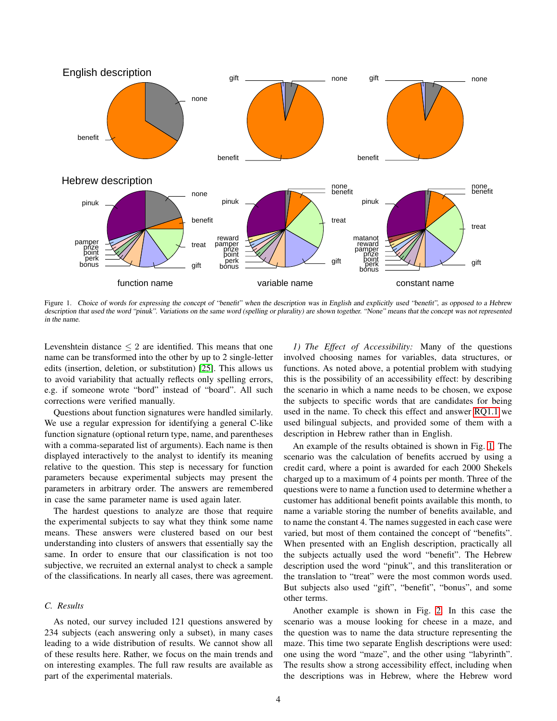

<span id="page-3-0"></span>Figure 1. Choice of words for expressing the concept of "benefit" when the description was in English and explicitly used "benefit", as opposed to a Hebrew description that used the word "pinuk". Variations on the same word (spelling or plurality) are shown together. "None" means that the concept was not represented in the name.

Levenshtein distance  $\leq 2$  are identified. This means that one name can be transformed into the other by up to 2 single-letter edits (insertion, deletion, or substitution) [\[25\]](#page-14-23). This allows us to avoid variability that actually reflects only spelling errors, e.g. if someone wrote "bord" instead of "board". All such corrections were verified manually.

Questions about function signatures were handled similarly. We use a regular expression for identifying a general C-like function signature (optional return type, name, and parentheses with a comma-separated list of arguments). Each name is then displayed interactively to the analyst to identify its meaning relative to the question. This step is necessary for function parameters because experimental subjects may present the parameters in arbitrary order. The answers are remembered in case the same parameter name is used again later.

The hardest questions to analyze are those that require the experimental subjects to say what they think some name means. These answers were clustered based on our best understanding into clusters of answers that essentially say the same. In order to ensure that our classification is not too subjective, we recruited an external analyst to check a sample of the classifications. In nearly all cases, there was agreement.

# *C. Results*

As noted, our survey included 121 questions answered by 234 subjects (each answering only a subset), in many cases leading to a wide distribution of results. We cannot show all of these results here. Rather, we focus on the main trends and on interesting examples. The full raw results are available as part of the experimental materials.

<span id="page-3-1"></span>*1) The Effect of Accessibility:* Many of the questions involved choosing names for variables, data structures, or functions. As noted above, a potential problem with studying this is the possibility of an accessibility effect: by describing the scenario in which a name needs to be chosen, we expose the subjects to specific words that are candidates for being used in the name. To check this effect and answer [RQ1.1](#page-2-0) we used bilingual subjects, and provided some of them with a description in Hebrew rather than in English.

An example of the results obtained is shown in Fig. [1.](#page-3-0) The scenario was the calculation of benefits accrued by using a credit card, where a point is awarded for each 2000 Shekels charged up to a maximum of 4 points per month. Three of the questions were to name a function used to determine whether a customer has additional benefit points available this month, to name a variable storing the number of benefits available, and to name the constant 4. The names suggested in each case were varied, but most of them contained the concept of "benefits". When presented with an English description, practically all the subjects actually used the word "benefit". The Hebrew description used the word "pinuk", and this transliteration or the translation to "treat" were the most common words used. But subjects also used "gift", "benefit", "bonus", and some other terms.

Another example is shown in Fig. [2.](#page-4-0) In this case the scenario was a mouse looking for cheese in a maze, and the question was to name the data structure representing the maze. This time two separate English descriptions were used: one using the word "maze", and the other using "labyrinth". The results show a strong accessibility effect, including when the descriptions was in Hebrew, where the Hebrew word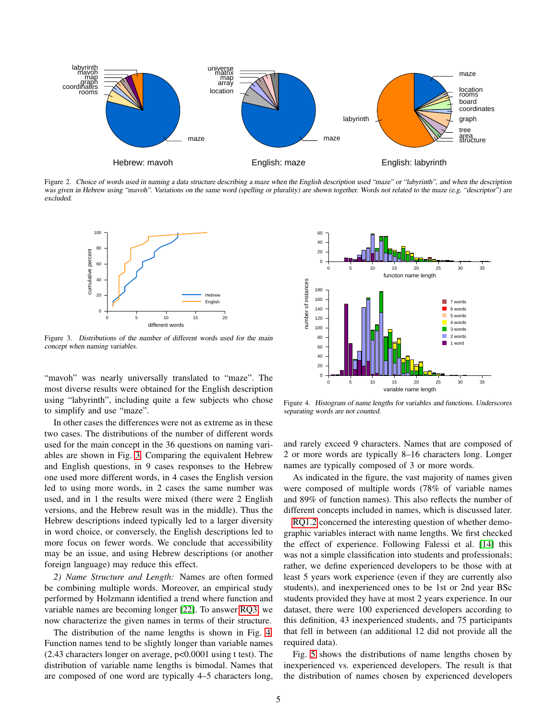

<span id="page-4-0"></span>Figure 2. Choice of words used in naming <sup>a</sup> data structure describing <sup>a</sup> maze when the English description used "maze" or "labyrinth", and when the description was given in Hebrew using "mavoh". Variations on the same word (spelling or plurality) are shown together. Words not related to the maze (e.g. "descriptor") are excluded.



<span id="page-4-1"></span>Figure 3. Distributions of the number of different words used for the main concept when naming variables.

"mavoh" was nearly universally translated to "maze". The most diverse results were obtained for the English description using "labyrinth", including quite a few subjects who chose to simplify and use "maze".

In other cases the differences were not as extreme as in these two cases. The distributions of the number of different words used for the main concept in the 36 questions on naming variables are shown in Fig. [3.](#page-4-1) Comparing the equivalent Hebrew and English questions, in 9 cases responses to the Hebrew one used more different words, in 4 cases the English version led to using more words, in 2 cases the same number was used, and in 1 the results were mixed (there were 2 English versions, and the Hebrew result was in the middle). Thus the Hebrew descriptions indeed typically led to a larger diversity in word choice, or conversely, the English descriptions led to more focus on fewer words. We conclude that accessibility may be an issue, and using Hebrew descriptions (or another foreign language) may reduce this effect.

*2) Name Structure and Length:* Names are often formed be combining multiple words. Moreover, an empirical study performed by Holzmann identified a trend where function and variable names are becoming longer [\[22\]](#page-14-24). To answer [RQ3,](#page-2-1) we now characterize the given names in terms of their structure.

The distribution of the name lengths is shown in Fig. [4.](#page-4-2) Function names tend to be slightly longer than variable names (2.43 characters longer on average, p<0.0001 using t test). The distribution of variable name lengths is bimodal. Names that are composed of one word are typically 4–5 characters long,



<span id="page-4-2"></span>Figure 4. Histogram of name lengths for variables and functions. Underscores separating words are not counted.

and rarely exceed 9 characters. Names that are composed of 2 or more words are typically 8–16 characters long. Longer names are typically composed of 3 or more words.

As indicated in the figure, the vast majority of names given were composed of multiple words (78% of variable names and 89% of function names). This also reflects the number of different concepts included in names, which is discussed later.

RO1.2 concerned the interesting question of whether demographic variables interact with name lengths. We first checked the effect of experience. Following Falessi et al. [\[14\]](#page-14-25) this was not a simple classification into students and professionals; rather, we define experienced developers to be those with at least 5 years work experience (even if they are currently also students), and inexperienced ones to be 1st or 2nd year BSc students provided they have at most 2 years experience. In our dataset, there were 100 experienced developers according to this definition, 43 inexperienced students, and 75 participants that fell in between (an additional 12 did not provide all the required data).

Fig. [5](#page-5-0) shows the distributions of name lengths chosen by inexperienced vs. experienced developers. The result is that the distribution of names chosen by experienced developers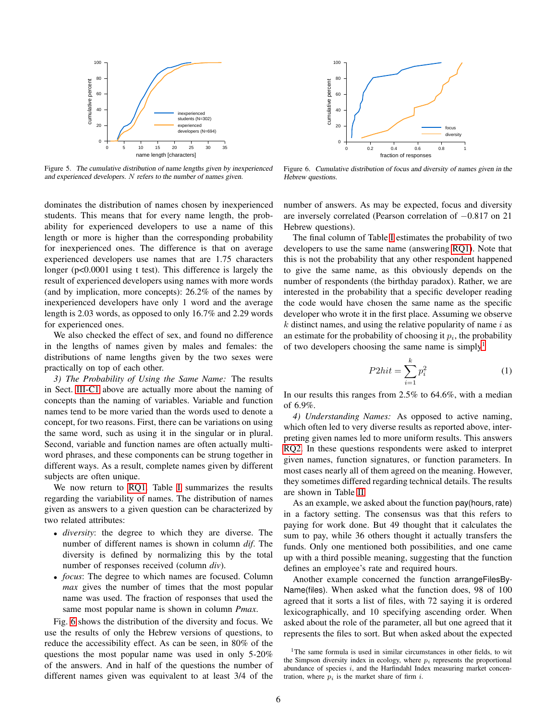

<span id="page-5-0"></span>Figure 5. The cumulative distribution of name lengths given by inexperienced and experienced developers. N refers to the number of names given.

dominates the distribution of names chosen by inexperienced students. This means that for every name length, the probability for experienced developers to use a name of this length or more is higher than the corresponding probability for inexperienced ones. The difference is that on average experienced developers use names that are 1.75 characters longer (p<0.0001 using t test). This difference is largely the result of experienced developers using names with more words (and by implication, more concepts): 26.2% of the names by inexperienced developers have only 1 word and the average length is 2.03 words, as opposed to only 16.7% and 2.29 words for experienced ones.

We also checked the effect of sex, and found no difference in the lengths of names given by males and females: the distributions of name lengths given by the two sexes were practically on top of each other.

*3) The Probability of Using the Same Name:* The results in Sect. [III-C1](#page-3-1) above are actually more about the naming of concepts than the naming of variables. Variable and function names tend to be more varied than the words used to denote a concept, for two reasons. First, there can be variations on using the same word, such as using it in the singular or in plural. Second, variable and function names are often actually multiword phrases, and these components can be strung together in different ways. As a result, complete names given by different subjects are often unique.

We now return to RO1. Table [I](#page-6-0) summarizes the results regarding the variability of names. The distribution of names given as answers to a given question can be characterized by two related attributes:

- *diversity*: the degree to which they are diverse. The number of different names is shown in column *dif*. The diversity is defined by normalizing this by the total number of responses received (column *div*).
- *focus*: The degree to which names are focused. Column *max* gives the number of times that the most popular name was used. The fraction of responses that used the same most popular name is shown in column *Pmax*.

Fig. [6](#page-5-1) shows the distribution of the diversity and focus. We use the results of only the Hebrew versions of questions, to reduce the accessibility effect. As can be seen, in 80% of the questions the most popular name was used in only 5-20% of the answers. And in half of the questions the number of different names given was equivalent to at least 3/4 of the



<span id="page-5-1"></span>Figure 6. Cumulative distribution of focus and diversity of names given in the Hebrew questions.

number of answers. As may be expected, focus and diversity are inversely correlated (Pearson correlation of −0.817 on 21 Hebrew questions).

The final column of Table [I](#page-6-0) estimates the probability of two developers to use the same name (answering [RQ1\)](#page-2-3). Note that this is not the probability that any other respondent happened to give the same name, as this obviously depends on the number of respondents (the birthday paradox). Rather, we are interested in the probability that a specific developer reading the code would have chosen the same name as the specific developer who wrote it in the first place. Assuming we observe  $k$  distinct names, and using the relative popularity of name  $i$  as an estimate for the probability of choosing it  $p_i$ , the probability of two developers choosing the same name is simply<sup>[1](#page-5-2)</sup>

$$
P2hit = \sum_{i=1}^{k} p_i^2 \tag{1}
$$

In our results this ranges from 2.5% to 64.6%, with a median of 6.9%.

*4) Understanding Names:* As opposed to active naming, which often led to very diverse results as reported above, interpreting given names led to more uniform results. This answers [RQ2.](#page-2-4) In these questions respondents were asked to interpret given names, function signatures, or function parameters. In most cases nearly all of them agreed on the meaning. However, they sometimes differed regarding technical details. The results are shown in Table [II.](#page-7-0)

As an example, we asked about the function pay(hours, rate) in a factory setting. The consensus was that this refers to paying for work done. But 49 thought that it calculates the sum to pay, while 36 others thought it actually transfers the funds. Only one mentioned both possibilities, and one came up with a third possible meaning, suggesting that the function defines an employee's rate and required hours.

Another example concerned the function arrangeFilesBy-Name(files). When asked what the function does, 98 of 100 agreed that it sorts a list of files, with 72 saying it is ordered lexicographically, and 10 specifying ascending order. When asked about the role of the parameter, all but one agreed that it represents the files to sort. But when asked about the expected

<span id="page-5-2"></span><sup>&</sup>lt;sup>1</sup>The same formula is used in similar circumstances in other fields, to wit the Simpson diversity index in ecology, where  $p_i$  represents the proportional abundance of species  $i$ , and the Harfindahl Index measuring market concentration, where  $p_i$  is the market share of firm i.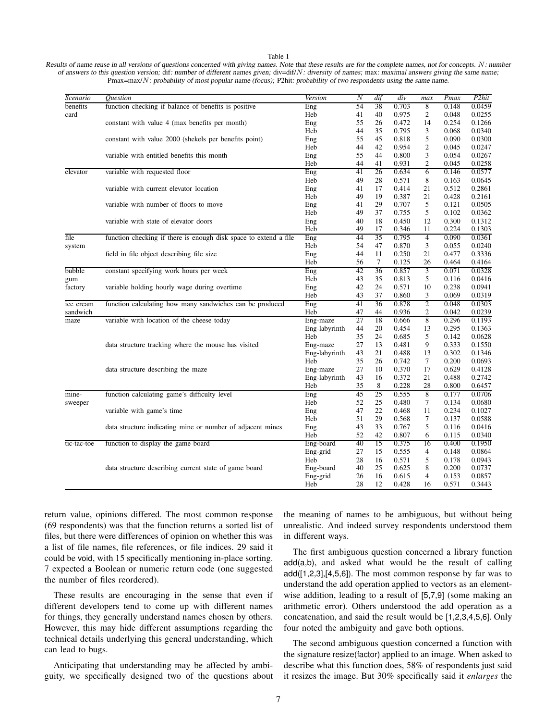## Table I

<span id="page-6-0"></span>

| Results of name reuse in all versions of questions concerned with giving names. Note that these results are for the complete names, not for concepts. $N$ : number |
|--------------------------------------------------------------------------------------------------------------------------------------------------------------------|
| of answers to this question version; dif: number of different names given; div=dif/N: diversity of names; max: maximal answers giving the same name;               |
| Pmax=max/N: probability of most popular name (focus); P2hit: probability of two respondents using the same name.                                                   |

| Scenario    | <i><u><b>Ouestion</b></u></i>                                    | Version         | $\overline{N}$ | dif     | div            | max                 | Pmax           | P <sub>2</sub> hit |
|-------------|------------------------------------------------------------------|-----------------|----------------|---------|----------------|---------------------|----------------|--------------------|
| benefits    | function checking if balance of benefits is positive             | Eng             | 54             | 38      | 0.703          | 8                   | 0.148          | 0.0459             |
| card        |                                                                  | Heb             | 41             | 40      | 0.975          | 2                   | 0.048          | 0.0255             |
|             | constant with value 4 (max benefits per month)                   | Eng             | 55             | 26      | 0.472          | 14                  | 0.254          | 0.1266             |
|             |                                                                  | Heb             | 44             | 35      | 0.795          | 3                   | 0.068          | 0.0340             |
|             | constant with value 2000 (shekels per benefits point)            | Eng             | 55             | 45      | 0.818          | 5                   | 0.090          | 0.0300             |
|             |                                                                  | Heb             | 44             | 42      | 0.954          | $\mathfrak{2}$      | 0.045          | 0.0247             |
|             | variable with entitled benefits this month                       | Eng             | 55             | 44      | 0.800          | 3                   | 0.054          | 0.0267             |
|             |                                                                  | Heb             | 44             | 41      | 0.931          | $\overline{2}$      | 0.045          | 0.0258             |
| elevator    | variable with requested floor                                    | Eng             | 41             | 26      | 0.634          | $\overline{6}$      | 0.146          | 0.0577             |
|             |                                                                  | Heb             | 49             | 28      | 0.571          | 8                   | 0.163          | 0.0645             |
|             | variable with current elevator location                          | Eng             | 41             | 17      | 0.414          | 21                  | 0.512          | 0.2861             |
|             |                                                                  | Heb             | 49             | 19      | 0.387          | 21                  | 0.428          | 0.2161             |
|             | variable with number of floors to move                           | Eng             | 41             | 29      | 0.707          | 5                   | 0.121          | 0.0505             |
|             |                                                                  | Heb             | 49             | 37      | 0.755          | 5                   | 0.102          | 0.0362             |
|             | variable with state of elevator doors                            | Eng             | 40             | 18      | 0.450          | 12                  | 0.300          | 0.1312             |
|             |                                                                  | Heb             | 49             | 17      | 0.346          | 11                  | 0.224          | 0.1303             |
| file        | function checking if there is enough disk space to extend a file | Eng             | 44             | 35      | 0.795          | $\overline{4}$      | 0.090          | 0.0361             |
| system      |                                                                  | Heb             | 54             | 47      | 0.870          | 3                   | 0.055          | 0.0240             |
|             | field in file object describing file size                        | Eng             | 44             | 11      | 0.250          | 21                  | 0.477          | 0.3336             |
|             |                                                                  | Heb             | 56             | 7       | 0.125          | 26                  | 0.464          | 0.4164             |
| bubble      | constant specifying work hours per week                          | Eng             | 42             | 36      | 0.857          | 3                   | 0.071          | 0.0328             |
| gum         |                                                                  | Heb             | 43             | 35      | 0.813          | 5                   | 0.116          | 0.0416             |
| factory     | variable holding hourly wage during overtime                     | Eng             | 42             | 24      | 0.571          | 10                  | 0.238          | 0.0941             |
|             |                                                                  | Heb             | 43             | 37      | 0.860          | 3                   | 0.069          | 0.0319             |
| ice cream   | function calculating how many sandwiches can be produced         | Eng             | 41             | 36      | 0.878          | $\overline{2}$      | 0.048          | 0.0303             |
| sandwich    |                                                                  | Heb             | 47             | 44      | 0.936          | $\overline{c}$      | 0.042          | 0.0239             |
| maze        | variable with location of the cheese today                       | Eng-maze        | 27             | 18      | 0.666          | 8                   | 0.296          | 0.1193             |
|             |                                                                  | Eng-labyrinth   | 44             | 20      | 0.454          | 13                  | 0.295          | 0.1363             |
|             |                                                                  | Heb             | 35             | 24      | 0.685          | 5                   | 0.142          | 0.0628             |
|             | data structure tracking where the mouse has visited              | Eng-maze        | 27             | 13      | 0.481          | 9                   | 0.333          | 0.1550             |
|             |                                                                  | Eng-labyrinth   | 43             | 21      | 0.488          | 13                  | 0.302          | 0.1346             |
|             |                                                                  | Heb             | 35             | 26      | 0.742          | $\tau$              | 0.200          | 0.0693             |
|             | data structure describing the maze                               | Eng-maze        | 27             | 10      | 0.370          | 17<br>21            | 0.629          | 0.4128             |
|             |                                                                  | Eng-labyrinth   | 43<br>35       | 16<br>8 | 0.372<br>0.228 | 28                  | 0.488<br>0.800 | 0.2742<br>0.6457   |
|             | function calculating game's difficulty level                     | Heb             | 45             | 25      | 0.555          | 8                   | 0.177          | 0.0706             |
| mine-       |                                                                  | Eng<br>Heb      | 52             | 25      | 0.480          | $\tau$              | 0.134          | 0.0680             |
| sweeper     |                                                                  |                 | 47             | 22      | 0.468          | 11                  | 0.234          | 0.1027             |
|             | variable with game's time                                        | Eng             | 51             | 29      | 0.568          | $\tau$              | 0.137          | 0.0588             |
|             |                                                                  | Heb             | 43             | 33      | 0.767          | 5                   | 0.116          | 0.0416             |
|             | data structure indicating mine or number of adjacent mines       | Eng<br>Heb      | 52             | 42      | 0.807          | 6                   | 0.115          | 0.0340             |
| tic-tac-toe | function to display the game board                               | Eng-board       | 40             | 15      | 0.375          | 16                  | 0.400          | 0.1950             |
|             |                                                                  |                 | 27             | 15      | 0.555          |                     | 0.148          | 0.0864             |
|             |                                                                  | Eng-grid<br>Heb | 28             | 16      | 0.571          | $\overline{4}$<br>5 | 0.178          | 0.0943             |
|             | data structure describing current state of game board            | Eng-board       | 40             | 25      | 0.625          | 8                   | 0.200          | 0.0737             |
|             |                                                                  | Eng-grid        | 26             | 16      | 0.615          | 4                   | 0.153          | 0.0857             |
|             |                                                                  | Heb             | 28             | 12      | 0.428          | 16                  | 0.571          | 0.3443             |
|             |                                                                  |                 |                |         |                |                     |                |                    |

return value, opinions differed. The most common response (69 respondents) was that the function returns a sorted list of files, but there were differences of opinion on whether this was a list of file names, file references, or file indices. 29 said it could be void, with 15 specifically mentioning in-place sorting. 7 expected a Boolean or numeric return code (one suggested the number of files reordered).

These results are encouraging in the sense that even if different developers tend to come up with different names for things, they generally understand names chosen by others. However, this may hide different assumptions regarding the technical details underlying this general understanding, which can lead to bugs.

Anticipating that understanding may be affected by ambiguity, we specifically designed two of the questions about

the meaning of names to be ambiguous, but without being unrealistic. And indeed survey respondents understood them in different ways.

The first ambiguous question concerned a library function add(a,b), and asked what would be the result of calling  $add([1,2,3],[4,5,6])$ . The most common response by far was to understand the add operation applied to vectors as an elementwise addition, leading to a result of [5,7,9] (some making an arithmetic error). Others understood the add operation as a concatenation, and said the result would be [1,2,3,4,5,6]. Only four noted the ambiguity and gave both options.

The second ambiguous question concerned a function with the signature resize(factor) applied to an image. When asked to describe what this function does, 58% of respondents just said it resizes the image. But 30% specifically said it *enlarges* the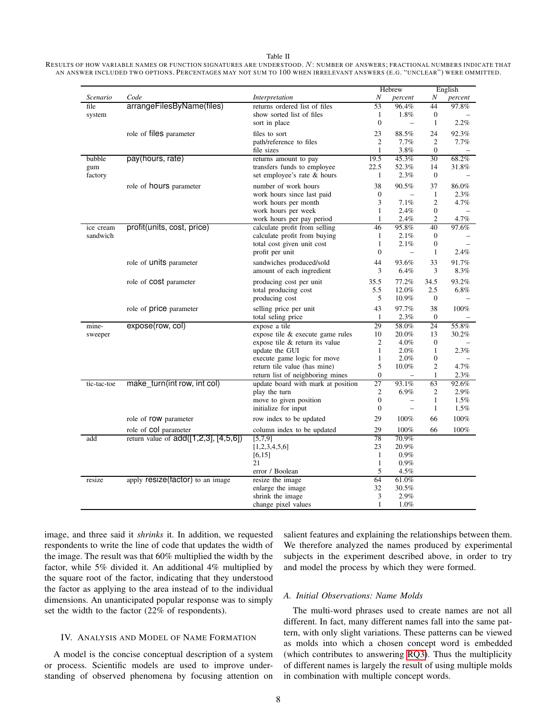#### Table II

<span id="page-7-0"></span>

| RESULTS OF HOW VARIABLE NAMES OR FUNCTION SIGNATURES ARE UNDERSTOOD. N: NUMBER OF ANSWERS: FRACTIONAL NUMBERS INDICATE THAT |  |
|-----------------------------------------------------------------------------------------------------------------------------|--|
| AN ANSWER INCLUDED TWO OPTIONS, PERCENTAGES MAY NOT SUM TO 100 WHEN IRRELEVANT ANSWERS (E.G. "UNCLEAR") WERE OMMITTED.      |  |

|             |                                         |                                                | Hebrew                         |                          | English                        |              |
|-------------|-----------------------------------------|------------------------------------------------|--------------------------------|--------------------------|--------------------------------|--------------|
| Scenario    | Code                                    | Interpretation                                 | N                              | percent                  | N                              | percent      |
| file        | arrangeFilesByName(files)               | returns ordered list of files                  | 53                             | 96.4%                    | 44                             | 97.8%        |
| system      |                                         | show sorted list of files                      | 1                              | 1.8%                     | $\mathbf{0}$                   |              |
|             |                                         | sort in place                                  | $\mathbf{0}$                   | $\overline{\phantom{a}}$ | $\mathbf{1}$                   | 2.2%         |
|             | role of files parameter                 | files to sort                                  | 23                             | 88.5%                    | 24                             | 92.3%        |
|             |                                         | path/reference to files                        | $\overline{c}$                 | 7.7%                     | $\mathfrak{2}$                 | 7.7%         |
|             |                                         | file sizes                                     | $\mathbf{1}$                   | 3.8%                     | $\mathbf{0}$                   |              |
| bubble      | pay(hours, rate)                        | returns amount to pay                          | 19.5                           | 45.3%                    | 30                             | 68.2%        |
| gum         |                                         | transfers funds to employee                    | 22.5                           | 52.3%                    | 14                             | 31.8%        |
| factory     |                                         | set employee's rate & hours                    | 1                              | 2.3%                     | $\boldsymbol{0}$               |              |
|             | role of hours parameter                 | number of work hours                           | 38                             | 90.5%                    | 37                             | 86.0%        |
|             |                                         | work hours since last paid                     | $\boldsymbol{0}$               | $\overline{a}$           | 1                              | 2.3%         |
|             |                                         | work hours per month                           | 3                              | 7.1%                     | $\overline{c}$                 | 4.7%         |
|             |                                         | work hours per week                            | $\mathbf{1}$                   | 2.4%                     | $\Omega$                       |              |
|             |                                         | work hours per pay period                      | 1                              | 2.4%                     | $\overline{c}$                 | 4.7%         |
| ice cream   | profit(units, cost, price)              | calculate profit from selling                  | 46                             | 95.8%                    | 40                             | 97.6%        |
| sandwich    |                                         | calculate profit from buying                   | $\mathbf{1}$                   | 2.1%                     | $\mathbf{0}$                   |              |
|             |                                         | total cost given unit cost                     | 1                              | 2.1%                     | $\mathbf{0}$                   |              |
|             |                                         | profit per unit                                | $\theta$                       | $\overline{\phantom{0}}$ | $\mathbf{1}$                   | 2.4%         |
|             | role of <b>units</b> parameter          | sandwiches produced/sold                       | 44                             | 93.6%                    | 33                             | 91.7%        |
|             |                                         | amount of each ingredient                      | 3                              | 6.4%                     | 3                              | 8.3%         |
|             | role of <b>COS</b> parameter            | producing cost per unit                        | 35.5                           | 77.2%                    | 34.5                           | 93.2%        |
|             |                                         | total producing cost                           | 5.5                            | 12.0%                    | 2.5                            | $6.8\%$      |
|             |                                         | producing cost                                 | 5                              | 10.9%                    | $\mathbf{0}$                   |              |
|             | role of <b>price</b> parameter          | selling price per unit                         | 43                             | 97.7%                    | 38                             | 100%         |
|             |                                         | total seling price                             | $\mathbf{1}$                   | 2.3%                     | $\mathbf{0}$                   |              |
| mine-       | expose(row, col)                        | expose a tile                                  | 29                             | 58.0%                    | 24                             | 55.8%        |
| sweeper     |                                         | expose tile & execute game rules               | 10                             | 20.0%                    | 13                             | 30.2%        |
|             |                                         | expose tile & return its value                 | $\overline{2}$                 | 4.0%                     | $\Omega$                       |              |
|             |                                         | update the GUI                                 | $\mathbf{1}$                   | 2.0%                     | $\mathbf{1}$                   | 2.3%         |
|             |                                         | execute game logic for move                    | $\mathbf{1}$                   | 2.0%                     | $\boldsymbol{0}$               |              |
|             |                                         | return tile value (has mine)                   | 5                              | 10.0%                    | $\overline{2}$                 | 4.7%         |
|             |                                         | return list of neighboring mines               | $\mathbf{0}$                   |                          | 1                              | 2.3%         |
| tic-tac-toe | make turn(int row, int col)             | update board with mark at position             | $\overline{27}$                | 93.1%                    | 63                             | 92.6%        |
|             |                                         | play the turn                                  | $\overline{2}$<br>$\mathbf{0}$ | 6.9%                     | $\overline{2}$<br>$\mathbf{1}$ | 2.9%<br>1.5% |
|             |                                         | move to given position<br>initialize for input | $\boldsymbol{0}$               |                          | $\mathbf{1}$                   | 1.5%         |
|             |                                         |                                                |                                |                          |                                |              |
|             | role of <b>row</b> parameter            | row index to be updated                        | 29                             | 100%                     | 66                             | 100%         |
|             | role of COI parameter                   | column index to be updated                     | 29                             | 100%                     | 66                             | 100%         |
| add         | return value of $add([1,2,3], [4,5,6])$ | [5,7,9]                                        | 78                             | 70.9%                    |                                |              |
|             |                                         | [1,2,3,4,5,6]                                  | 23                             | 20.9%                    |                                |              |
|             |                                         | [6, 15]                                        | $\mathbf{1}$                   | 0.9%                     |                                |              |
|             |                                         | 21                                             | $\mathbf{1}$                   | 0.9%                     |                                |              |
|             |                                         | error / Boolean                                | 5                              | 4.5%                     |                                |              |
| resize      | apply resize(factor) to an image        | resize the image                               | 64<br>32                       | 61.0%<br>30.5%           |                                |              |
|             |                                         | enlarge the image<br>shrink the image          | 3                              | 2.9%                     |                                |              |
|             |                                         | change pixel values                            | $\mathbf{1}$                   | 1.0%                     |                                |              |
|             |                                         |                                                |                                |                          |                                |              |

image, and three said it *shrinks* it. In addition, we requested respondents to write the line of code that updates the width of the image. The result was that 60% multiplied the width by the factor, while 5% divided it. An additional 4% multiplied by the square root of the factor, indicating that they understood the factor as applying to the area instead of to the individual dimensions. An unanticipated popular response was to simply set the width to the factor (22% of respondents).

# <span id="page-7-1"></span>IV. ANALYSIS AND MODEL OF NAME FORMATION

A model is the concise conceptual description of a system or process. Scientific models are used to improve understanding of observed phenomena by focusing attention on salient features and explaining the relationships between them. We therefore analyzed the names produced by experimental subjects in the experiment described above, in order to try and model the process by which they were formed.

#### *A. Initial Observations: Name Molds*

The multi-word phrases used to create names are not all different. In fact, many different names fall into the same pattern, with only slight variations. These patterns can be viewed as molds into which a chosen concept word is embedded (which contributes to answering [RQ3\)](#page-2-1). Thus the multiplicity of different names is largely the result of using multiple molds in combination with multiple concept words.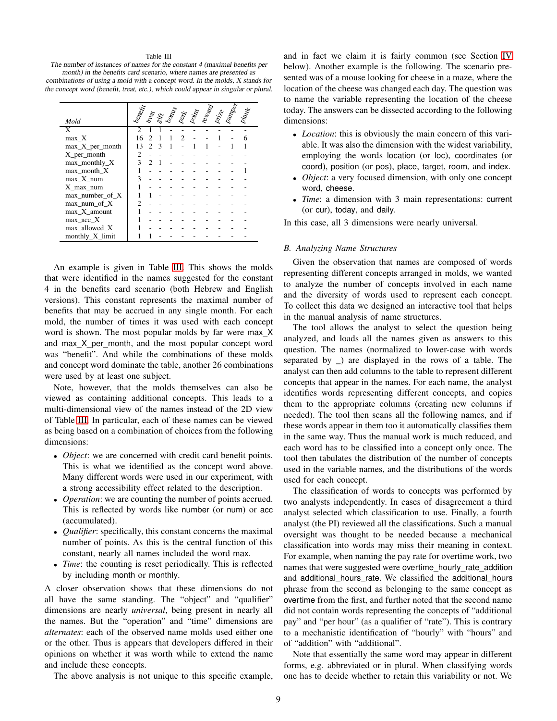#### Table III

<span id="page-8-0"></span>The number of instances of names for the constant <sup>4</sup> (maximal benefits per month) in the benefits card scenario, where names are presented as combinations of using <sup>a</sup> mold with <sup>a</sup> concept word. In the molds, <sup>X</sup> stands for the concept word (benefit, treat, etc.), which could appear in singular or plural.

| Mold                   | <sup>Jenefr</sup>        |                               |               | bonu | perk | popu | reway. | Dapon | rang. |
|------------------------|--------------------------|-------------------------------|---------------|------|------|------|--------|-------|-------|
|                        |                          |                               |               |      |      |      |        |       |       |
| max X                  | 16                       | $\mathfrak{D}$                |               |      | 2    |      |        |       |       |
| $max_X_X_{per\_month}$ | 13                       | $\mathfrak{D}_{\mathfrak{p}}$ | $\mathcal{R}$ | 1    |      |      |        |       |       |
| $X_{per\_month}$       | 2                        |                               |               |      |      |      |        |       |       |
| $max$ _monthly_X       | $\overline{\mathcal{E}}$ | $\mathcal{D}_{\mathcal{L}}$   |               |      |      |      |        |       |       |
| $max$ _month $X$       |                          |                               |               |      |      |      |        |       |       |
| max X num              | ٩                        |                               |               |      |      |      |        |       |       |
| X max num              |                          |                               |               |      |      |      |        |       |       |
| max number of X        |                          |                               |               |      |      |      |        |       |       |
| $max\_num_of_X$        | 2                        |                               |               |      |      |      |        |       |       |
| $max_X_X_$ amount      |                          |                               |               |      |      |      |        |       |       |
| $max\_acc_X$           |                          |                               |               |      |      |      |        |       |       |
| max_allowed X          |                          |                               |               |      |      |      |        |       |       |
| monthly_X_limit        |                          |                               |               |      |      |      |        |       |       |

An example is given in Table [III.](#page-8-0) This shows the molds that were identified in the names suggested for the constant 4 in the benefits card scenario (both Hebrew and English versions). This constant represents the maximal number of benefits that may be accrued in any single month. For each mold, the number of times it was used with each concept word is shown. The most popular molds by far were max\_X and max X per month, and the most popular concept word was "benefit". And while the combinations of these molds and concept word dominate the table, another 26 combinations were used by at least one subject.

Note, however, that the molds themselves can also be viewed as containing additional concepts. This leads to a multi-dimensional view of the names instead of the 2D view of Table [III.](#page-8-0) In particular, each of these names can be viewed as being based on a combination of choices from the following dimensions:

- *Object*: we are concerned with credit card benefit points. This is what we identified as the concept word above. Many different words were used in our experiment, with a strong accessibility effect related to the description.
- *Operation*: we are counting the number of points accrued. This is reflected by words like number (or num) or acc (accumulated).
- *Qualifier*: specifically, this constant concerns the maximal number of points. As this is the central function of this constant, nearly all names included the word max.
- *Time*: the counting is reset periodically. This is reflected by including month or monthly.

A closer observation shows that these dimensions do not all have the same standing. The "object" and "qualifier" dimensions are nearly *universal*, being present in nearly all the names. But the "operation" and "time" dimensions are *alternates*: each of the observed name molds used either one or the other. Thus is appears that developers differed in their opinions on whether it was worth while to extend the name and include these concepts.

The above analysis is not unique to this specific example,

and in fact we claim it is fairly common (see Section [IV](#page-7-1) below). Another example is the following. The scenario presented was of a mouse looking for cheese in a maze, where the location of the cheese was changed each day. The question was to name the variable representing the location of the cheese today. The answers can be dissected according to the following dimensions:

- *Location*: this is obviously the main concern of this variable. It was also the dimension with the widest variability, employing the words location (or loc), coordinates (or coord), position (or pos), place, target, room, and index.
- *Object*: a very focused dimension, with only one concept word, cheese.
- *Time*: a dimension with 3 main representations: current (or cur), today, and daily.

In this case, all 3 dimensions were nearly universal.

#### *B. Analyzing Name Structures*

Given the observation that names are composed of words representing different concepts arranged in molds, we wanted to analyze the number of concepts involved in each name and the diversity of words used to represent each concept. To collect this data we designed an interactive tool that helps in the manual analysis of name structures.

The tool allows the analyst to select the question being analyzed, and loads all the names given as answers to this question. The names (normalized to lower-case with words separated by \_) are displayed in the rows of a table. The analyst can then add columns to the table to represent different concepts that appear in the names. For each name, the analyst identifies words representing different concepts, and copies them to the appropriate columns (creating new columns if needed). The tool then scans all the following names, and if these words appear in them too it automatically classifies them in the same way. Thus the manual work is much reduced, and each word has to be classified into a concept only once. The tool then tabulates the distribution of the number of concepts used in the variable names, and the distributions of the words used for each concept.

The classification of words to concepts was performed by two analysts independently. In cases of disagreement a third analyst selected which classification to use. Finally, a fourth analyst (the PI) reviewed all the classifications. Such a manual oversight was thought to be needed because a mechanical classification into words may miss their meaning in context. For example, when naming the pay rate for overtime work, two names that were suggested were overtime hourly rate addition and additional hours rate. We classified the additional hours phrase from the second as belonging to the same concept as overtime from the first, and further noted that the second name did not contain words representing the concepts of "additional pay" and "per hour" (as a qualifier of "rate"). This is contrary to a mechanistic identification of "hourly" with "hours" and of "addition" with "additional".

Note that essentially the same word may appear in different forms, e.g. abbreviated or in plural. When classifying words one has to decide whether to retain this variability or not. We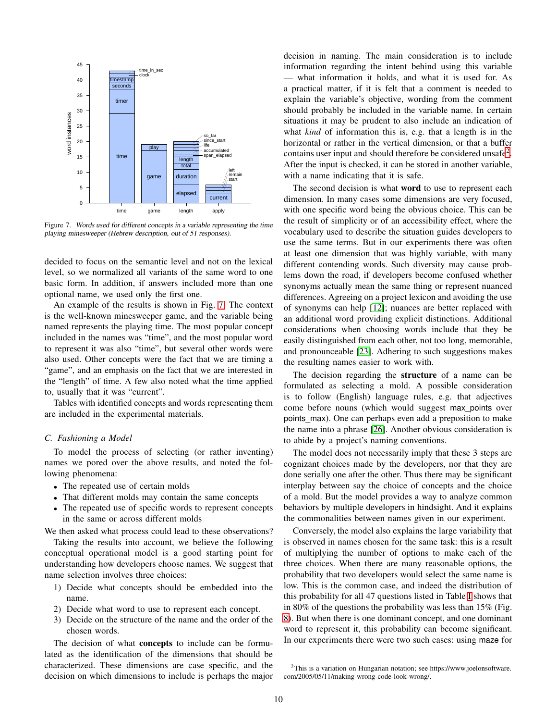

<span id="page-9-0"></span>Figure 7. Words used for different concepts in <sup>a</sup> variable representing the time playing minesweeper (Hebrew description, out of <sup>51</sup> responses).

decided to focus on the semantic level and not on the lexical level, so we normalized all variants of the same word to one basic form. In addition, if answers included more than one optional name, we used only the first one.

An example of the results is shown in Fig. [7.](#page-9-0) The context is the well-known minesweeper game, and the variable being named represents the playing time. The most popular concept included in the names was "time", and the most popular word to represent it was also "time", but several other words were also used. Other concepts were the fact that we are timing a "game", and an emphasis on the fact that we are interested in the "length" of time. A few also noted what the time applied to, usually that it was "current".

Tables with identified concepts and words representing them are included in the experimental materials.

# *C. Fashioning a Model*

To model the process of selecting (or rather inventing) names we pored over the above results, and noted the following phenomena:

- The repeated use of certain molds
- That different molds may contain the same concepts
- The repeated use of specific words to represent concepts in the same or across different molds

We then asked what process could lead to these observations?

Taking the results into account, we believe the following conceptual operational model is a good starting point for understanding how developers choose names. We suggest that name selection involves three choices:

- 1) Decide what concepts should be embedded into the name.
- 2) Decide what word to use to represent each concept.
- 3) Decide on the structure of the name and the order of the chosen words.

The decision of what concepts to include can be formulated as the identification of the dimensions that should be characterized. These dimensions are case specific, and the decision on which dimensions to include is perhaps the major decision in naming. The main consideration is to include information regarding the intent behind using this variable — what information it holds, and what it is used for. As a practical matter, if it is felt that a comment is needed to explain the variable's objective, wording from the comment should probably be included in the variable name. In certain situations it may be prudent to also include an indication of what *kind* of information this is, e.g. that a length is in the horizontal or rather in the vertical dimension, or that a buffer contains user input and should therefore be considered unsafe<sup>[2](#page-9-1)</sup>. After the input is checked, it can be stored in another variable, with a name indicating that it is safe.

The second decision is what word to use to represent each dimension. In many cases some dimensions are very focused, with one specific word being the obvious choice. This can be the result of simplicity or of an accessibility effect, where the vocabulary used to describe the situation guides developers to use the same terms. But in our experiments there was often at least one dimension that was highly variable, with many different contending words. Such diversity may cause problems down the road, if developers become confused whether synonyms actually mean the same thing or represent nuanced differences. Agreeing on a project lexicon and avoiding the use of synonyms can help [\[12\]](#page-14-0); nuances are better replaced with an additional word providing explicit distinctions. Additional considerations when choosing words include that they be easily distinguished from each other, not too long, memorable, and pronounceable [\[23\]](#page-14-26). Adhering to such suggestions makes the resulting names easier to work with.

The decision regarding the **structure** of a name can be formulated as selecting a mold. A possible consideration is to follow (English) language rules, e.g. that adjectives come before nouns (which would suggest max\_points over points\_max). One can perhaps even add a preposition to make the name into a phrase [\[26\]](#page-14-5). Another obvious consideration is to abide by a project's naming conventions.

The model does not necessarily imply that these 3 steps are cognizant choices made by the developers, nor that they are done serially one after the other. Thus there may be significant interplay between say the choice of concepts and the choice of a mold. But the model provides a way to analyze common behaviors by multiple developers in hindsight. And it explains the commonalities between names given in our experiment.

Conversely, the model also explains the large variability that is observed in names chosen for the same task: this is a result of multiplying the number of options to make each of the three choices. When there are many reasonable options, the probability that two developers would select the same name is low. This is the common case, and indeed the distribution of this probability for all 47 questions listed in Table [I](#page-6-0) shows that in 80% of the questions the probability was less than 15% (Fig. [8\)](#page-10-0). But when there is one dominant concept, and one dominant word to represent it, this probability can become significant. In our experiments there were two such cases: using maze for

<span id="page-9-1"></span><sup>2</sup>This is a variation on Hungarian notation; see https://www.joelonsoftware. com/2005/05/11/making-wrong-code-look-wrong/.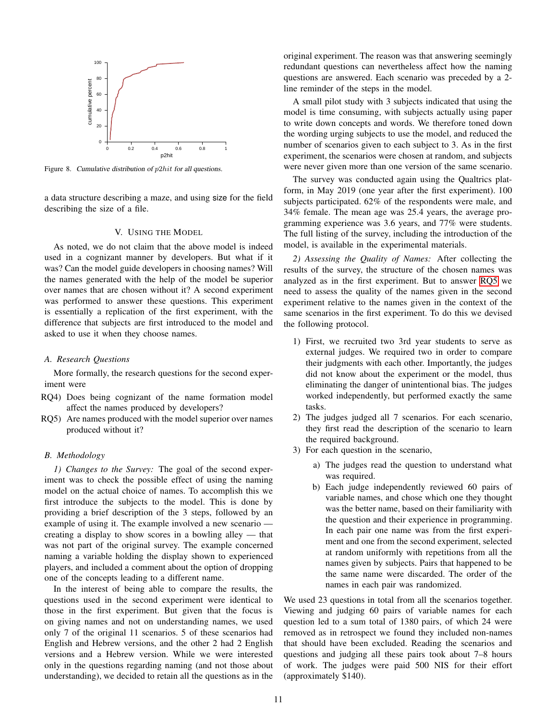

<span id="page-10-0"></span>Figure 8. Cumulative distribution of  $p2hit$  for all questions.

a data structure describing a maze, and using size for the field describing the size of a file.

#### V. USING THE MODEL

As noted, we do not claim that the above model is indeed used in a cognizant manner by developers. But what if it was? Can the model guide developers in choosing names? Will the names generated with the help of the model be superior over names that are chosen without it? A second experiment was performed to answer these questions. This experiment is essentially a replication of the first experiment, with the difference that subjects are first introduced to the model and asked to use it when they choose names.

#### *A. Research Questions*

<span id="page-10-2"></span>More formally, the research questions for the second experiment were

- RQ4) Does being cognizant of the name formation model affect the names produced by developers?
- <span id="page-10-1"></span>RQ5) Are names produced with the model superior over names produced without it?

## *B. Methodology*

*1) Changes to the Survey:* The goal of the second experiment was to check the possible effect of using the naming model on the actual choice of names. To accomplish this we first introduce the subjects to the model. This is done by providing a brief description of the 3 steps, followed by an example of using it. The example involved a new scenario creating a display to show scores in a bowling alley — that was not part of the original survey. The example concerned naming a variable holding the display shown to experienced players, and included a comment about the option of dropping one of the concepts leading to a different name.

In the interest of being able to compare the results, the questions used in the second experiment were identical to those in the first experiment. But given that the focus is on giving names and not on understanding names, we used only 7 of the original 11 scenarios. 5 of these scenarios had English and Hebrew versions, and the other 2 had 2 English versions and a Hebrew version. While we were interested only in the questions regarding naming (and not those about understanding), we decided to retain all the questions as in the original experiment. The reason was that answering seemingly redundant questions can nevertheless affect how the naming questions are answered. Each scenario was preceded by a 2 line reminder of the steps in the model.

A small pilot study with 3 subjects indicated that using the model is time consuming, with subjects actually using paper to write down concepts and words. We therefore toned down the wording urging subjects to use the model, and reduced the number of scenarios given to each subject to 3. As in the first experiment, the scenarios were chosen at random, and subjects were never given more than one version of the same scenario.

The survey was conducted again using the Qualtrics platform, in May 2019 (one year after the first experiment). 100 subjects participated. 62% of the respondents were male, and 34% female. The mean age was 25.4 years, the average programming experience was 3.6 years, and 77% were students. The full listing of the survey, including the introduction of the model, is available in the experimental materials.

*2) Assessing the Quality of Names:* After collecting the results of the survey, the structure of the chosen names was analyzed as in the first experiment. But to answer [RQ5](#page-10-1) we need to assess the quality of the names given in the second experiment relative to the names given in the context of the same scenarios in the first experiment. To do this we devised the following protocol.

- 1) First, we recruited two 3rd year students to serve as external judges. We required two in order to compare their judgments with each other. Importantly, the judges did not know about the experiment or the model, thus eliminating the danger of unintentional bias. The judges worked independently, but performed exactly the same tasks.
- 2) The judges judged all 7 scenarios. For each scenario, they first read the description of the scenario to learn the required background.
- 3) For each question in the scenario,
	- a) The judges read the question to understand what was required.
	- b) Each judge independently reviewed 60 pairs of variable names, and chose which one they thought was the better name, based on their familiarity with the question and their experience in programming. In each pair one name was from the first experiment and one from the second experiment, selected at random uniformly with repetitions from all the names given by subjects. Pairs that happened to be the same name were discarded. The order of the names in each pair was randomized.

We used 23 questions in total from all the scenarios together. Viewing and judging 60 pairs of variable names for each question led to a sum total of 1380 pairs, of which 24 were removed as in retrospect we found they included non-names that should have been excluded. Reading the scenarios and questions and judging all these pairs took about 7–8 hours of work. The judges were paid 500 NIS for their effort (approximately \$140).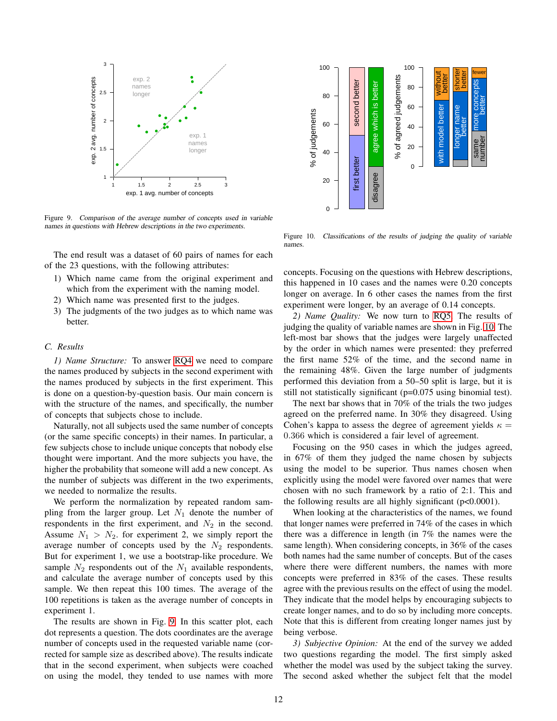

<span id="page-11-0"></span>Figure 9. Comparison of the average number of concepts used in variable names in questions with Hebrew descriptions in the two experiments.

The end result was a dataset of 60 pairs of names for each of the 23 questions, with the following attributes:

- 1) Which name came from the original experiment and which from the experiment with the naming model.
- 2) Which name was presented first to the judges.
- 3) The judgments of the two judges as to which name was better.

#### *C. Results*

*1) Name Structure:* To answer [RQ4](#page-10-2) we need to compare the names produced by subjects in the second experiment with the names produced by subjects in the first experiment. This is done on a question-by-question basis. Our main concern is with the structure of the names, and specifically, the number of concepts that subjects chose to include.

Naturally, not all subjects used the same number of concepts (or the same specific concepts) in their names. In particular, a few subjects chose to include unique concepts that nobody else thought were important. And the more subjects you have, the higher the probability that someone will add a new concept. As the number of subjects was different in the two experiments, we needed to normalize the results.

We perform the normalization by repeated random sampling from the larger group. Let  $N_1$  denote the number of respondents in the first experiment, and  $N_2$  in the second. Assume  $N_1 > N_2$ , for experiment 2, we simply report the average number of concepts used by the  $N_2$  respondents. But for experiment 1, we use a bootstrap-like procedure. We sample  $N_2$  respondents out of the  $N_1$  available respondents, and calculate the average number of concepts used by this sample. We then repeat this 100 times. The average of the 100 repetitions is taken as the average number of concepts in experiment 1.

The results are shown in Fig. [9.](#page-11-0) In this scatter plot, each dot represents a question. The dots coordinates are the average number of concepts used in the requested variable name (corrected for sample size as described above). The results indicate that in the second experiment, when subjects were coached on using the model, they tended to use names with more



<span id="page-11-1"></span>Figure 10. Classifications of the results of judging the quality of variable names.

concepts. Focusing on the questions with Hebrew descriptions, this happened in 10 cases and the names were 0.20 concepts longer on average. In 6 other cases the names from the first experiment were longer, by an average of 0.14 concepts.

*2) Name Quality:* We now turn to [RQ5.](#page-10-1) The results of judging the quality of variable names are shown in Fig. [10.](#page-11-1) The left-most bar shows that the judges were largely unaffected by the order in which names were presented: they preferred the first name 52% of the time, and the second name in the remaining 48%. Given the large number of judgments performed this deviation from a 50–50 split is large, but it is still not statistically significant (p=0.075 using binomial test).

The next bar shows that in 70% of the trials the two judges agreed on the preferred name. In 30% they disagreed. Using Cohen's kappa to assess the degree of agreement yields  $\kappa =$ 0.366 which is considered a fair level of agreement.

Focusing on the 950 cases in which the judges agreed, in 67% of them they judged the name chosen by subjects using the model to be superior. Thus names chosen when explicitly using the model were favored over names that were chosen with no such framework by a ratio of 2:1. This and the following results are all highly significant  $(p<0.0001)$ .

When looking at the characteristics of the names, we found that longer names were preferred in 74% of the cases in which there was a difference in length (in 7% the names were the same length). When considering concepts, in 36% of the cases both names had the same number of concepts. But of the cases where there were different numbers, the names with more concepts were preferred in 83% of the cases. These results agree with the previous results on the effect of using the model. They indicate that the model helps by encouraging subjects to create longer names, and to do so by including more concepts. Note that this is different from creating longer names just by being verbose.

*3) Subjective Opinion:* At the end of the survey we added two questions regarding the model. The first simply asked whether the model was used by the subject taking the survey. The second asked whether the subject felt that the model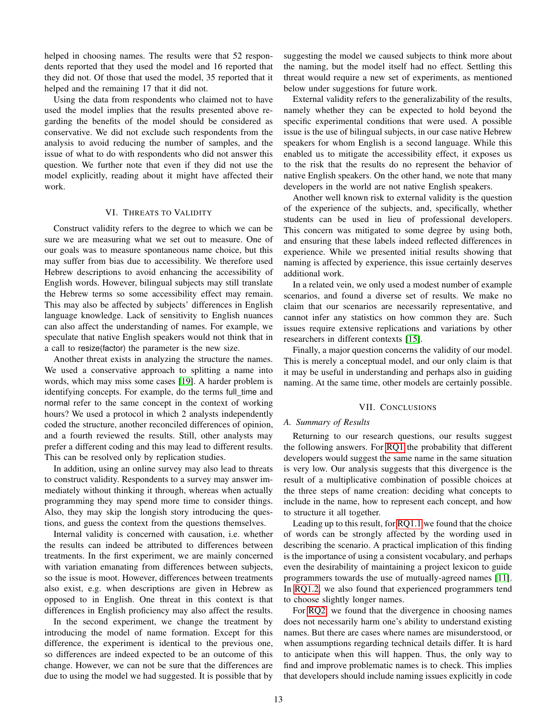helped in choosing names. The results were that 52 respondents reported that they used the model and 16 reported that they did not. Of those that used the model, 35 reported that it helped and the remaining 17 that it did not.

Using the data from respondents who claimed not to have used the model implies that the results presented above regarding the benefits of the model should be considered as conservative. We did not exclude such respondents from the analysis to avoid reducing the number of samples, and the issue of what to do with respondents who did not answer this question. We further note that even if they did not use the model explicitly, reading about it might have affected their work.

## VI. THREATS TO VALIDITY

Construct validity refers to the degree to which we can be sure we are measuring what we set out to measure. One of our goals was to measure spontaneous name choice, but this may suffer from bias due to accessibility. We therefore used Hebrew descriptions to avoid enhancing the accessibility of English words. However, bilingual subjects may still translate the Hebrew terms so some accessibility effect may remain. This may also be affected by subjects' differences in English language knowledge. Lack of sensitivity to English nuances can also affect the understanding of names. For example, we speculate that native English speakers would not think that in a call to resize(factor) the parameter is the new size.

Another threat exists in analyzing the structure the names. We used a conservative approach to splitting a name into words, which may miss some cases [\[19\]](#page-14-27). A harder problem is identifying concepts. For example, do the terms full time and normal refer to the same concept in the context of working hours? We used a protocol in which 2 analysts independently coded the structure, another reconciled differences of opinion, and a fourth reviewed the results. Still, other analysts may prefer a different coding and this may lead to different results. This can be resolved only by replication studies.

In addition, using an online survey may also lead to threats to construct validity. Respondents to a survey may answer immediately without thinking it through, whereas when actually programming they may spend more time to consider things. Also, they may skip the longish story introducing the questions, and guess the context from the questions themselves.

Internal validity is concerned with causation, i.e. whether the results can indeed be attributed to differences between treatments. In the first experiment, we are mainly concerned with variation emanating from differences between subjects, so the issue is moot. However, differences between treatments also exist, e.g. when descriptions are given in Hebrew as opposed to in English. One threat in this context is that differences in English proficiency may also affect the results.

In the second experiment, we change the treatment by introducing the model of name formation. Except for this difference, the experiment is identical to the previous one, so differences are indeed expected to be an outcome of this change. However, we can not be sure that the differences are due to using the model we had suggested. It is possible that by suggesting the model we caused subjects to think more about the naming, but the model itself had no effect. Settling this threat would require a new set of experiments, as mentioned below under suggestions for future work.

External validity refers to the generalizability of the results, namely whether they can be expected to hold beyond the specific experimental conditions that were used. A possible issue is the use of bilingual subjects, in our case native Hebrew speakers for whom English is a second language. While this enabled us to mitigate the accessibility effect, it exposes us to the risk that the results do no represent the behavior of native English speakers. On the other hand, we note that many developers in the world are not native English speakers.

Another well known risk to external validity is the question of the experience of the subjects, and, specifically, whether students can be used in lieu of professional developers. This concern was mitigated to some degree by using both, and ensuring that these labels indeed reflected differences in experience. While we presented initial results showing that naming is affected by experience, this issue certainly deserves additional work.

In a related vein, we only used a modest number of example scenarios, and found a diverse set of results. We make no claim that our scenarios are necessarily representative, and cannot infer any statistics on how common they are. Such issues require extensive replications and variations by other researchers in different contexts [\[15\]](#page-14-28).

Finally, a major question concerns the validity of our model. This is merely a conceptual model, and our only claim is that it may be useful in understanding and perhaps also in guiding naming. At the same time, other models are certainly possible.

## VII. CONCLUSIONS

#### *A. Summary of Results*

Returning to our research questions, our results suggest the following answers. For [RQ1](#page-2-3) the probability that different developers would suggest the same name in the same situation is very low. Our analysis suggests that this divergence is the result of a multiplicative combination of possible choices at the three steps of name creation: deciding what concepts to include in the name, how to represent each concept, and how to structure it all together.

Leading up to this result, for [RQ1.1](#page-2-0) we found that the choice of words can be strongly affected by the wording used in describing the scenario. A practical implication of this finding is the importance of using a consistent vocabulary, and perhaps even the desirability of maintaining a project lexicon to guide programmers towards the use of mutually-agreed names [\[11\]](#page-13-7). In [RQ1.2,](#page-2-2) we also found that experienced programmers tend to choose slightly longer names.

For [RQ2,](#page-2-4) we found that the divergence in choosing names does not necessarily harm one's ability to understand existing names. But there are cases where names are misunderstood, or when assumptions regarding technical details differ. It is hard to anticipate when this will happen. Thus, the only way to find and improve problematic names is to check. This implies that developers should include naming issues explicitly in code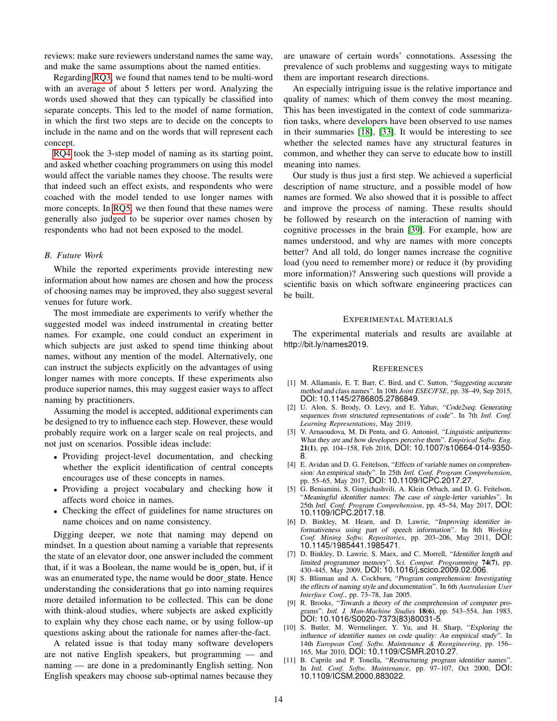reviews: make sure reviewers understand names the same way, and make the same assumptions about the named entities.

Regarding [RQ3,](#page-2-1) we found that names tend to be multi-word with an average of about 5 letters per word. Analyzing the words used showed that they can typically be classified into separate concepts. This led to the model of name formation, in which the first two steps are to decide on the concepts to include in the name and on the words that will represent each concept.

[RQ4](#page-10-2) took the 3-step model of naming as its starting point, and asked whether coaching programmers on using this model would affect the variable names they choose. The results were that indeed such an effect exists, and respondents who were coached with the model tended to use longer names with more concepts. In [RQ5,](#page-10-1) we then found that these names were generally also judged to be superior over names chosen by respondents who had not been exposed to the model.

## *B. Future Work*

While the reported experiments provide interesting new information about how names are chosen and how the process of choosing names may be improved, they also suggest several venues for future work.

The most immediate are experiments to verify whether the suggested model was indeed instrumental in creating better names. For example, one could conduct an experiment in which subjects are just asked to spend time thinking about names, without any mention of the model. Alternatively, one can instruct the subjects explicitly on the advantages of using longer names with more concepts. If these experiments also produce superior names, this may suggest easier ways to affect naming by practitioners.

Assuming the model is accepted, additional experiments can be designed to try to influence each step. However, these would probably require work on a larger scale on real projects, and not just on scenarios. Possible ideas include:

- Providing project-level documentation, and checking whether the explicit identification of central concepts encourages use of these concepts in names.
- Providing a project vocabulary and checking how it affects word choice in names.
- Checking the effect of guidelines for name structures on name choices and on name consistency.

Digging deeper, we note that naming may depend on mindset. In a question about naming a variable that represents the state of an elevator door, one answer included the comment that, if it was a Boolean, the name would be is\_open, but, if it was an enumerated type, the name would be door\_state. Hence understanding the considerations that go into naming requires more detailed information to be collected. This can be done with think-aloud studies, where subjects are asked explicitly to explain why they chose each name, or by using follow-up questions asking about the rationale for names after-the-fact.

A related issue is that today many software developers are not native English speakers, but programming — and naming — are done in a predominantly English setting. Non English speakers may choose sub-optimal names because they

are unaware of certain words' connotations. Assessing the prevalence of such problems and suggesting ways to mitigate them are important research directions.

An especially intriguing issue is the relative importance and quality of names: which of them convey the most meaning. This has been investigated in the context of code summarization tasks, where developers have been observed to use names in their summaries [\[18\]](#page-14-10), [\[33\]](#page-14-29). It would be interesting to see whether the selected names have any structural features in common, and whether they can serve to educate how to instill meaning into names.

Our study is thus just a first step. We achieved a superficial description of name structure, and a possible model of how names are formed. We also showed that it is possible to affect and improve the process of naming. These results should be followed by research on the interaction of naming with cognitive processes in the brain [\[39\]](#page-14-19). For example, how are names understood, and why are names with more concepts better? And all told, do longer names increase the cognitive load (you need to remember more) or reduce it (by providing more information)? Answering such questions will provide a scientific basis on which software engineering practices can be built.

## EXPERIMENTAL MATERIALS

The experimental materials and results are available at http://bit.ly/names2019.

#### **REFERENCES**

- <span id="page-13-9"></span>[1] M. Allamanis, E. T. Barr, C. Bird, and C. Sutton, "Suggesting accurate method and class names". In 10th *Joint ESEC/FSE*, pp. 38–49, Sep 2015, DOI: 10.1145/2786805.2786849.
- <span id="page-13-10"></span>[2] U. Alon, S. Brody, O. Levy, and E. Yahav, "Code2seq: Generating sequences from structured representations of code". In 7th *Intl. Conf. Learning Representations*, May 2019.
- <span id="page-13-3"></span>[3] V. Arnaoudova, M. Di Penta, and G. Antoniol, "Linguistic antipatterns: What they are and how developers perceive them". *Empirical Softw. Eng.* 21(1), pp. 104–158, Feb 2016, DOI: 10.1007/s10664-014-9350- 8.
- <span id="page-13-4"></span>[4] E. Avidan and D. G. Feitelson, "Effects of variable names on comprehension: An empirical study". In 25th *Intl. Conf. Program Comprehension*, pp. 55–65, May 2017, DOI: 10.1109/ICPC.2017.27.
- <span id="page-13-6"></span>[5] G. Beniamini, S. Gingichashvili, A. Klein Orbach, and D. G. Feitelson, "Meaningful identifier names: The case of single-letter variables". In 25th *Intl. Conf. Program Comprehension*, pp. 45–54, May 2017, DOI: 10.1109/ICPC.2017.18.
- <span id="page-13-8"></span>[6] D. Binkley, M. Hearn, and D. Lawrie, "Improving identifier informativeness using part of speech information". In 8th *Working Conf. Mining Softw. Repositories*, pp. 203–206, May 2011, DOI: 10.1145/1985441.1985471.
- <span id="page-13-5"></span>[7] D. Binkley, D. Lawrie, S. Maex, and C. Morrell, "Identifier length and limited programmer memory". *Sci. Comput. Programming* 74(7), pp. 430–445, May 2009, DOI: 10.1016/j.scico.2009.02.006.
- <span id="page-13-1"></span>[8] S. Blinman and A. Cockburn, "Program comprehension: Investigating the effects of naming style and documentation". In 6th *Australasian User Interface Conf.*, pp. 73–78, Jan 2005.
- <span id="page-13-0"></span>[9] R. Brooks, "Towards a theory of the comprehension of computer programs". *Intl. J. Man-Machine Studies* 18(6), pp. 543–554, Jun 1983, DOI: 10.1016/S0020-7373(83)80031-5.
- <span id="page-13-2"></span>[10] S. Butler, M. Wermelinger, Y. Yu, and H. Sharp, "Exploring the influence of identifier names on code quality: An empirical study". In 14th *European Conf. Softw. Maintenance & Reengineering*, pp. 156– 165, Mar 2010, DOI: 10.1109/CSMR.2010.27.
- <span id="page-13-7"></span>[11] B. Caprile and P. Tonella, "Restructuring program identifier names". In *Intl. Conf. Softw. Maintenance*, pp. 97–107, Oct 2000, DOI: 10.1109/ICSM.2000.883022.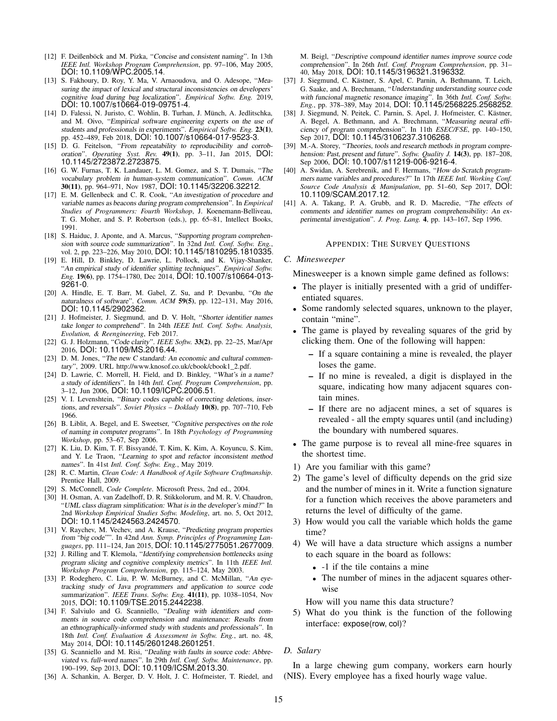- <span id="page-14-0"></span>[12] F. Deißenböck and M. Pizka, "Concise and consistent naming". In 13th *IEEE Intl. Workshop Program Comprehension*, pp. 97–106, May 2005, DOI: 10.1109/WPC.2005.14.
- <span id="page-14-22"></span>[13] S. Fakhoury, D. Roy, Y. Ma, V. Arnaoudova, and O. Adesope, "Measuring the impact of lexical and structural inconsistencies on developers' cognitive load during bug localization". *Empirical Softw. Eng.* 2019, DOI: 10.1007/s10664-019-09751-4.
- <span id="page-14-25"></span>[14] D. Falessi, N. Juristo, C. Wohlin, B. Turhan, J. Münch, A. Jedlitschka, and M. Oivo, "Empirical software engineering experts on the use of students and professionals in experiments". *Empirical Softw. Eng.* 23(1), pp. 452–489, Feb 2018, DOI: 10.1007/s10664-017-9523-3.
- <span id="page-14-28"></span>[15] D. G. Feitelson, "From repeatability to reproducibility and corroboration". *Operating Syst. Rev.* 49(1), pp. 3–11, Jan 2015, DOI: 10.1145/2723872.2723875.
- <span id="page-14-6"></span>[16] G. W. Furnas, T. K. Landauer, L. M. Gomez, and S. T. Dumais, "The vocabulary problem in human-system communication". *Comm. ACM* 30(11), pp. 964–971, Nov 1987, DOI: 10.1145/32206.32212.
- <span id="page-14-1"></span>[17] E. M. Gellenbeck and C. R. Cook, "An investigation of procedure and variable names as beacons during program comprehension". In *Empirical Studies of Programmers: Fourth Workshop*, J. Koenemann-Belliveau, T. G. Moher, and S. P. Robertson (eds.), pp. 65–81, Intellect Books, 1991.
- <span id="page-14-10"></span>[18] S. Haiduc, J. Aponte, and A. Marcus, "Supporting program comprehension with source code summarization". In 32nd *Intl. Conf. Softw. Eng.*, vol. 2, pp. 223-226, May 2010, DOI: 10.1145/1810295.1810335.
- <span id="page-14-27"></span>[19] E. Hill, D. Binkley, D. Lawrie, L. Pollock, and K. Vijay-Shanker, "An empirical study of identifier splitting techniques". *Empirical Softw. Eng.* 19(6), pp. 1754–1780, Dec 2014, DOI: 10.1007/s10664-013- 9261-0.
- <span id="page-14-7"></span>[20] A. Hindle, E. T. Barr, M. Gabel, Z. Su, and P. Devanbu, "On the naturalness of software". *Comm. ACM* 59(5), pp. 122–131, May 2016, DOI: 10.1145/2902362.
- <span id="page-14-15"></span>[21] J. Hofmeister, J. Siegmund, and D. V. Holt, "Shorter identifier names take longer to comprehend". In 24th *IEEE Intl. Conf. Softw. Analysis, Evolution, & Reengineering*, Feb 2017.
- <span id="page-14-24"></span>[22] G. J. Holzmann, "Code clarity". *IEEE Softw.* 33(2), pp. 22–25, Mar/Apr 2016, DOI: 10.1109/MS.2016.44.
- <span id="page-14-26"></span>[23] D. M. Jones, "The new C standard: An economic and cultural commentary", 2009. URL http://www.knosof.co.uk/cbook/cbook1\_2.pdf.
- <span id="page-14-12"></span>[24] D. Lawrie, C. Morrell, H. Field, and D. Binkley, "What's in a name? <sup>a</sup> study of identifiers". In 14th *Intl. Conf. Program Comprehension*, pp. 3–12, Jun 2006, DOI: 10.1109/ICPC.2006.51.
- <span id="page-14-23"></span>[25] V. I. Levenshtein, "Binary codes capable of correcting deletions, insertions, and reversals". *Soviet Physics – Doklady* 10(8), pp. 707–710, Feb 1966.
- <span id="page-14-5"></span>[26] B. Liblit, A. Begel, and E. Sweetser, "Cognitive perspectives on the role of naming in computer programs". In 18th *Psychology of Programming Workshop*, pp. 53–67, Sep 2006.
- <span id="page-14-17"></span>[27] K. Liu, D. Kim, T. F. Bissyandé, T. Kim, K. Kim, A. Koyuncu, S. Kim, and Y. Le Traon, "Learning to spot and refactor inconsistent method names". In 41st *Intl. Conf. Softw. Eng.*, May 2019.
- <span id="page-14-2"></span>[28] R. C. Martin, *Clean Code: A Handbook of Agile Software Craftmanship*. Prentice Hall, 2009.
- <span id="page-14-9"></span><span id="page-14-4"></span>[29] S. McConnell, *Code Complete*. Microsoft Press, 2nd ed., 2004.
- [30] H. Osman, A. van Zadelhoff, D. R. Stikkolorum, and M. R. V. Chaudron, "UML class diagram simplification: What is in the developer's mind?" In 2nd *Workshop Empirical Studies Softw. Modeling*, art. no. 5, Oct 2012, DOI: 10.1145/2424563.2424570.
- <span id="page-14-18"></span>[31] V. Raychev, M. Vechev, and A. Krause, "Predicting program properties from "big code"". In 42nd *Ann. Symp. Principles of Programming Languages*, pp. 111–124, Jan 2015, DOI: 10.1145/2775051.2677009.
- <span id="page-14-8"></span>[32] J. Rilling and T. Klemola, "Identifying comprehension bottlenecks using program slicing and cognitive complexity metrics". In 11th *IEEE Intl. Workshop Program Comprehension*, pp. 115–124, May 2003.
- <span id="page-14-29"></span>[33] P. Rodeghero, C. Liu, P. W. McBurney, and C. McMillan, "An eyetracking study of Java programmers and application to source code summarization". *IEEE Trans. Softw. Eng.* 41(11), pp. 1038–1054, Nov 2015, DOI: 10.1109/TSE.2015.2442238.
- <span id="page-14-3"></span>[34] F. Salviulo and G. Scanniello, "Dealing with identifiers and comments in source code comprehension and maintenance: Results from an ethnographically-informed study with students and professionals". In 18th *Intl. Conf. Evaluation & Assessment in Softw. Eng.*, art. no. 48, May 2014, DOI: 10.1145/2601248.2601251.
- <span id="page-14-13"></span>[35] G. Scanniello and M. Risi, "Dealing with faults in source code: Abbreviated vs. full-word names". In 29th *Intl. Conf. Softw. Maintenance*, pp. 190–199, Sep 2013, DOI: 10.1109/ICSM.2013.30.
- <span id="page-14-16"></span>[36] A. Schankin, A. Berger, D. V. Holt, J. C. Hofmeister, T. Riedel, and

M. Beigl, "Descriptive compound identifier names improve source code comprehension". In 26th *Intl. Conf. Program Comprehension*, pp. 31– 40, May 2018, DOI: 10.1145/3196321.3196332.

- <span id="page-14-20"></span>[37] J. Siegmund, C. Kästner, S. Apel, C. Parnin, A. Bethmann, T. Leich, G. Saake, and A. Brechmann, "Understanding understanding source code with funcional magnetic resonance imaging". In 36th *Intl. Conf. Softw. Eng.*, pp. 378–389, May 2014, DOI: 10.1145/2568225.2568252.
- <span id="page-14-21"></span>[38] J. Siegmund, N. Peitek, C. Parnin, S. Apel, J. Hofmeister, C. Kästner, A. Begel, A. Bethmann, and A. Brechmann, "Measuring neural efficiency of program comprehension". In 11th *ESEC/FSE*, pp. 140–150, Sep 2017, DOI: 10.1145/3106237.3106268.
- <span id="page-14-19"></span>[39] M.-A. Storey, "Theories, tools and research methods in program comprehension: Past, present and future". *Softw. Quality J.* 14(3), pp. 187–208, Sep 2006, DOI: 10.1007/s11219-006-9216-4.
- <span id="page-14-11"></span>[40] A. Swidan, A. Serebrenik, and F. Hermans, "How do Scratch programmers name variables and procedures?" In 17th *IEEE Intl. Working Conf. Source Code Analysis & Manipulation*, pp. 51–60, Sep 2017, DOI: 10.1109/SCAM.2017.12.
- <span id="page-14-14"></span>[41] A. A. Takang, P. A. Grubb, and R. D. Macredie, "The effects of comments and identifier names on program comprehensibility: An experimental investigation". *J. Prog. Lang.* 4, pp. 143–167, Sep 1996.

#### APPENDIX: THE SURVEY QUESTIONS

#### *C. Minesweeper*

Minesweeper is a known simple game defined as follows:

- The player is initially presented with a grid of undifferentiated squares.
- Some randomly selected squares, unknown to the player, contain "mine".
- The game is played by revealing squares of the grid by clicking them. One of the following will happen:
	- If a square containing a mine is revealed, the player loses the game.
	- If no mine is revealed, a digit is displayed in the square, indicating how many adjacent squares contain mines.
	- If there are no adjacent mines, a set of squares is revealed - all the empty squares until (and including) the boundary with numbered squares.
- The game purpose is to reveal all mine-free squares in the shortest time.
- 1) Are you familiar with this game?
- 2) The game's level of difficulty depends on the grid size and the number of mines in it. Write a function signature for a function which receives the above parameters and returns the level of difficulty of the game.
- 3) How would you call the variable which holds the game time?
- 4) We will have a data structure which assigns a number to each square in the board as follows:
	- $-1$  if the tile contains a mine
	- The number of mines in the adjacent squares otherwise
	- How will you name this data structure?
- 5) What do you think is the function of the following interface: expose(row, col)?

# *D. Salary*

In a large chewing gum company, workers earn hourly (NIS). Every employee has a fixed hourly wage value.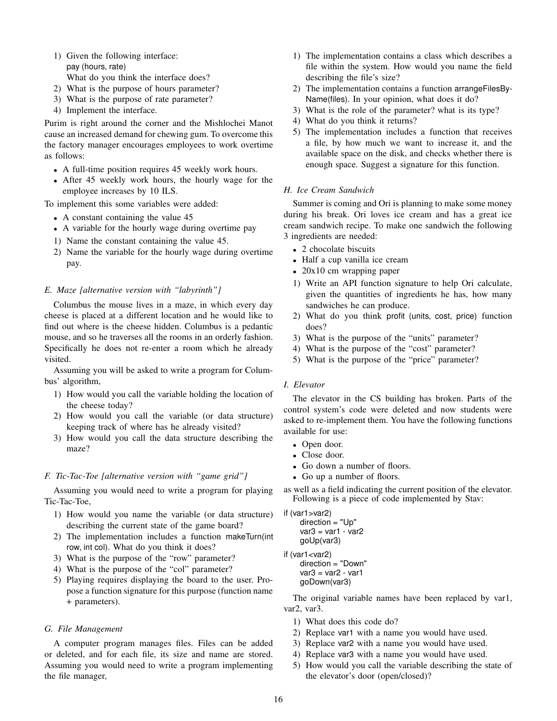- 1) Given the following interface: pay (hours, rate)
	- What do you think the interface does?
- 2) What is the purpose of hours parameter?
- 3) What is the purpose of rate parameter?
- 4) Implement the interface.

Purim is right around the corner and the Mishlochei Manot cause an increased demand for chewing gum. To overcome this the factory manager encourages employees to work overtime as follows:

- A full-time position requires 45 weekly work hours.
- After 45 weekly work hours, the hourly wage for the employee increases by 10 ILS.

To implement this some variables were added:

- A constant containing the value 45
- A variable for the hourly wage during overtime pay
- 1) Name the constant containing the value 45.
- 2) Name the variable for the hourly wage during overtime pay.

# *E. Maze [alternative version with "labyrinth"]*

Columbus the mouse lives in a maze, in which every day cheese is placed at a different location and he would like to find out where is the cheese hidden. Columbus is a pedantic mouse, and so he traverses all the rooms in an orderly fashion. Specifically he does not re-enter a room which he already visited.

Assuming you will be asked to write a program for Columbus' algorithm,

- 1) How would you call the variable holding the location of the cheese today?
- 2) How would you call the variable (or data structure) keeping track of where has he already visited?
- 3) How would you call the data structure describing the maze?

## *F. Tic-Tac-Toe [alternative version with "game grid"]*

Assuming you would need to write a program for playing Tic-Tac-Toe,

- 1) How would you name the variable (or data structure) describing the current state of the game board?
- 2) The implementation includes a function makeTurn(int row, int col). What do you think it does?
- 3) What is the purpose of the "row" parameter?
- 4) What is the purpose of the "col" parameter?
- 5) Playing requires displaying the board to the user. Propose a function signature for this purpose (function name + parameters).

## *G. File Management*

A computer program manages files. Files can be added or deleted, and for each file, its size and name are stored. Assuming you would need to write a program implementing the file manager,

- 1) The implementation contains a class which describes a file within the system. How would you name the field describing the file's size?
- 2) The implementation contains a function arrangeFilesBy-Name(files). In your opinion, what does it do?
- 3) What is the role of the parameter? what is its type?
- 4) What do you think it returns?
- 5) The implementation includes a function that receives a file, by how much we want to increase it, and the available space on the disk, and checks whether there is enough space. Suggest a signature for this function.

# *H. Ice Cream Sandwich*

Summer is coming and Ori is planning to make some money during his break. Ori loves ice cream and has a great ice cream sandwich recipe. To make one sandwich the following 3 ingredients are needed:

- 2 chocolate biscuits
- Half a cup vanilla ice cream
- 20x10 cm wrapping paper
- 1) Write an API function signature to help Ori calculate, given the quantities of ingredients he has, how many sandwiches he can produce.
- 2) What do you think profit (units, cost, price) function does?
- 3) What is the purpose of the "units" parameter?
- 4) What is the purpose of the "cost" parameter?
- 5) What is the purpose of the "price" parameter?

## *I. Elevator*

The elevator in the CS building has broken. Parts of the control system's code were deleted and now students were asked to re-implement them. You have the following functions available for use:

- Open door.
- Close door.
- Go down a number of floors.
- Go up a number of floors.
- as well as a field indicating the current position of the elevator. Following is a piece of code implemented by Stav:

```
if (var1>var2)
    direction = "Up"
    var3 = var1 - var2goUp(var3)
```
if (var1<var2)

```
direction = "Down"
var3 = var2 - var1goDown(var3)
```
The original variable names have been replaced by var1, var2, var3.

- 1) What does this code do?
- 2) Replace var1 with a name you would have used.
- 3) Replace var2 with a name you would have used.
- 4) Replace var3 with a name you would have used.
- 5) How would you call the variable describing the state of the elevator's door (open/closed)?